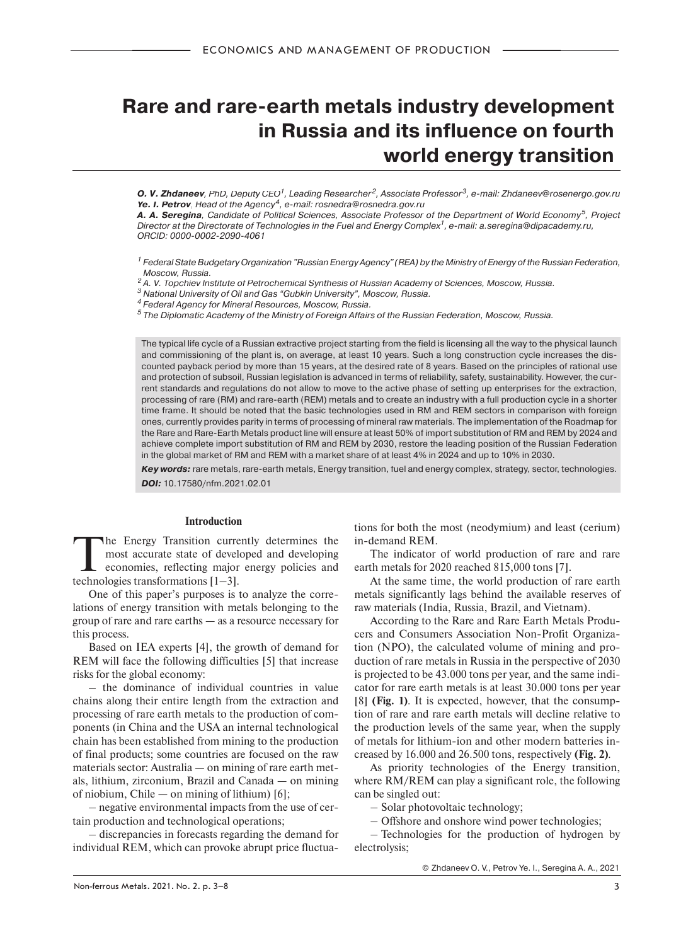# **Rare and rare-earth metals industry development in Russia and its influence on fourth world energy transition**

**O. V. Zhdaneev**, PhD, Deputy CEO<sup>1</sup>, Leading Researcher<sup>2</sup>, Associate Professor<sup>3</sup>, e-mail: Zhdaneev@rosenergo.gov.ru **Ye. I. Petrov**, Head of the Agency<sup>4</sup>, e-mail: rosnedra@rosnedra.gov.ru

*A. A. Seregina*, Candidate of Political Sciences, Associate Professor of the Department of World Economy5, Project Director at the Directorate of Technologies in the Fuel and Energy Complex<sup>1</sup>, e-mail: a.seregina@dipacademy.ru, ORCID: 0000-0002-2090-4061

1 Federal State Budgetary Organization "Russian Energy Agency" (REA) by the Ministry of Energy of the Russian Federation,

Moscow, Russia.<br><sup>2</sup> A. V. Topchiev Institute of Petrochemical Synthesis of Russian Academy of Sciences, Moscow, Russia.<br><sup>3</sup> National University of Oil and Gas "Gubkin University", Moscow, Russia.

<sup>4</sup> Federal Agency for Mineral Resources, Moscow, Russia.<br><sup>5</sup> The Diplomatic Academy of the Ministry of Foreign Affairs of the Russian Federation, Moscow, Russia.

The typical life cycle of a Russian extractive project starting from the field is licensing all the way to the physical launch and commissioning of the plant is, on average, at least 10 years. Such a long construction cycle increases the discounted payback period by more than 15 years, at the desired rate of 8 years. Based on the principles of rational use and protection of subsoil, Russian legislation is advanced in terms of reliability, safety, sustainability. However, the current standards and regulations do not allow to move to the active phase of setting up enterprises for the extraction, processing of rare (RM) and rare-earth (REM) metals and to create an industry with a full production cycle in a shorter time frame. It should be noted that the basic technologies used in RM and REM sectors in comparison with foreign ones, currently provides parity in terms of processing of mineral raw materials. The implementation of the Roadmap for the Rare and Rare-Earth Metals product line will ensure at least 50% of import substitution of RM and REM by 2024 and achieve complete import substitution of RM and REM by 2030, restore the leading position of the Russian Federation in the global market of RM and REM with a market share of at least 4% in 2024 and up to 10% in 2030.

*Key words:* rare metals, rare-earth metals, Energy transition, fuel and energy complex, strategy, sector, technologies.

*DOI:* 10.17580/nfm.2021.02.01

## **Introduction**

The Energy Transition currently determines the most accurate state of developed and developing economies, reflecting major energy policies and technologies transformations [1] 31 most accurate state of developed and developing technologies transformations [1–3].

One of this paper's purposes is to analyze the correlations of energy transition with metals belonging to the group of rare and rare earths — as a resource necessary for this process.

Based on IEA experts [4], the growth of demand for REM will face the following difficulties [5] that increase risks for the global economy:

– the dominance of individual countries in value chains along their entire length from the extraction and processing of rare earth metals to the production of components (in China and the USA an internal technological chain has been established from mining to the production of final products; some countries are focused on the raw materials sector: Australia — on mining of rare earth metals, lithium, zirconium, Brazil and Canada — on mining of niobium, Chile — on mining of lithium) [6];

– negative environmental impacts from the use of certain production and technological operations;

– discrepancies in forecasts regarding the demand for individual REM, which can provoke abrupt price fluctua-

tions for both the most (neodymium) and least (cerium) in-demand REM.

The indicator of world production of rare and rare earth metals for 2020 reached 815,000 tons [7].

At the same time, the world production of rare earth metals significantly lags behind the available reserves of raw materials (India, Russia, Brazil, and Vietnam).

According to the Rare and Rare Earth Metals Producers and Consumers Association Non-Profit Organization (NPO), the calculated volume of mining and production of rare metals in Russia in the perspective of 2030 is projected to be 43.000 tons per year, and the same indicator for rare earth metals is at least 30.000 tons per year [8] **(Fig. 1)**. It is expected, however, that the consumption of rare and rare earth metals will decline relative to the production levels of the same year, when the supply of metals for lithium-ion and other modern batteries increased by 16.000 and 26.500 tons, respectively **(Fig. 2)**.

As priority technologies of the Energy transition, where  $RM/REM$  can play a significant role, the following can be singled out:

– Solar photovoltaic technology;

– Offshore and onshore wind power technologies;

– Technologies for the production of hydrogen by electrolysis;

© Zhdaneev O. V., Petrov Ye. I., Seregina A. A., 2021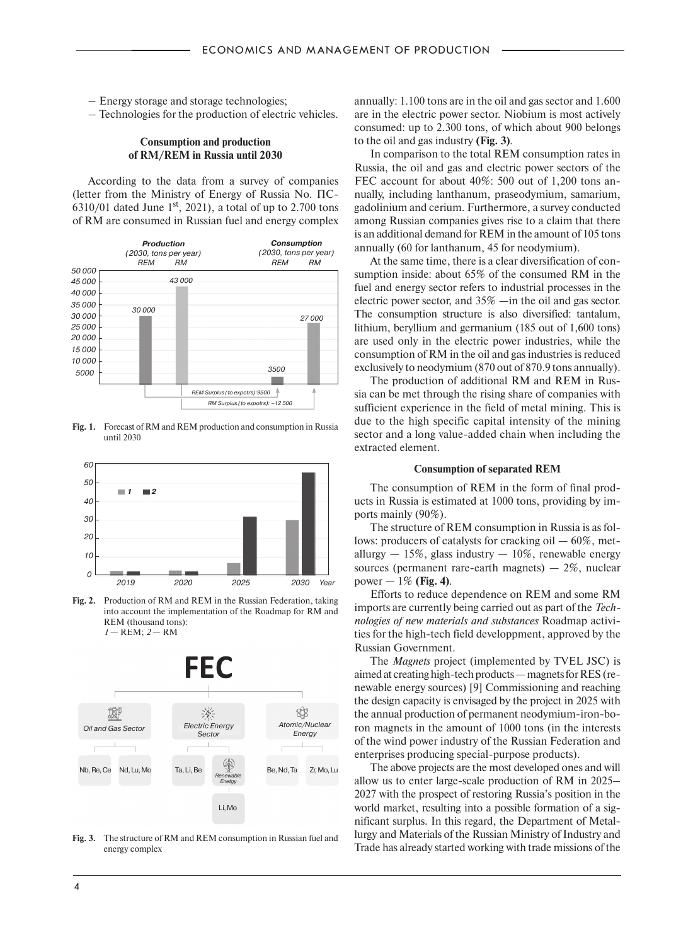- Energy storage and storage technologies;
- Technologies for the production of electric vehicles.

## **Consumption and production of RM/REM in Russia until 2030**

According to the data from a survey of companies (letter from the Ministry of Energy of Russia No. ПС-6310/01 dated June  $1<sup>st</sup>$ , 2021), a total of up to 2.700 tons of RM are consumed in Russian fuel and energy complex



**Fig. 1.** Forecast of RM and REM production and consumption in Russia until 2030



**Fig. 2.** Production of RM and REM in the Russian Federation, taking into account the implementation of the Roadmap for RM and REM (thousand tons): *1* — REM; *2* — RM



**Fig. 3.** The structure of RM and REM consumption in Russian fuel and energy complex

annually: 1.100 tons are in the oil and gas sector and 1.600 are in the electric power sector. Niobium is most actively consumed: up to 2.300 tons, of which about 900 belongs to the oil and gas industry **(Fig. 3)**.

In comparison to the total REM consumption rates in Russia, the oil and gas and electric power sectors of the FEC account for about 40%: 500 out of 1,200 tons annually, including lanthanum, praseodymium, samarium, gadolinium and cerium. Furthermore, a survey conducted among Russian companies gives rise to a claim that there is an additional demand for REM in the amount of 105 tons annually (60 for lanthanum, 45 for neodymium).

At the same time, there is a clear diversification of consumption inside: about 65% of the consumed RM in the fuel and energy sector refers to industrial processes in the electric power sector, and 35% —in the oil and gas sector. The consumption structure is also diversified: tantalum, lithium, beryllium and germanium (185 out of 1,600 tons) are used only in the electric power industries, while the consumption of RM in the oil and gas industries is reduced exclusively to neodymium (870 out of 870.9 tons annually).

The production of additional RM and REM in Russia can be met through the rising share of companies with sufficient experience in the field of metal mining. This is due to the high specific capital intensity of the mining sector and a long value-added chain when including the extracted element.

## **Consumption of separated REM**

The consumption of REM in the form of final products in Russia is estimated at 1000 tons, providing by imports mainly (90%).

The structure of REM consumption in Russia is as follows: producers of catalysts for cracking oil — 60%, metallurgy  $-15\%$ , glass industry  $-10\%$ , renewable energy sources (permanent rare-earth magnets)  $-2\%$ , nuclear power — 1% **(Fig. 4)**.

Efforts to reduce dependence on REM and some RM imports are currently being carried out as part of the *Technologies of new materials and substances* Roadmap activities for the high-tech field developpment, approved by the Russian Government.

The *Magnets* project (implemented by TVEL JSC) is aimed at creating high-tech products — magnets for RES (renewable energy sources) [9] Commissioning and reaching the design capacity is envisaged by the project in 2025 with the annual production of permanent neodymium-iron-boron magnets in the amount of 1000 tons (in the interests of the wind power industry of the Russian Federation and enterprises producing special-purpose products).

The above projects are the most developed ones and will allow us to enter large-scale production of RM in 2025– 2027 with the prospect of restoring Russia's position in the world market, resulting into a possible formation of a significant surplus. In this regard, the Department of Metallurgy and Materials of the Russian Ministry of Industry and Trade has already started working with trade missions of the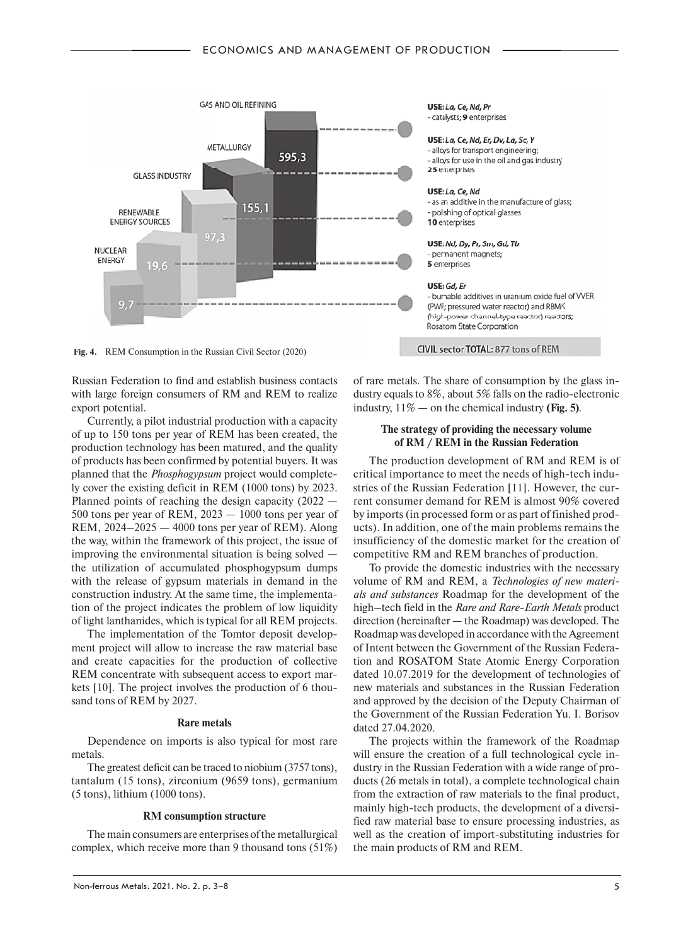

Fig. 4. REM Consumption in the Russian Civil Sector (2020)

Russian Federation to find and establish business contacts with large foreign consumers of RM and REM to realize export potential.

Currently, a pilot industrial production with a capacity of up to 150 tons per year of REM has been created, the production technology has been matured, and the quality of products has been confirmed by potential buyers. It was planned that the *Phosphogypsum* project would completely cover the existing deficit in REM (1000 tons) by 2023. Planned points of reaching the design capacity (2022 — 500 tons per year of REM, 2023 — 1000 tons per year of REM, 2024–2025 — 4000 tons per year of REM). Along the way, within the framework of this project, the issue of improving the environmental situation is being solved the utilization of accumulated phosphogypsum dumps with the release of gypsum materials in demand in the construction industry. At the same time, the implementation of the project indicates the problem of low liquidity of light lanthanides, which is typical for all REM projects.

The implementation of the Tomtor deposit development project will allow to increase the raw material base and create capacities for the production of collective REM concentrate with subsequent access to export markets [10]. The project involves the production of 6 thousand tons of REM by 2027.

## **Rare metals**

Dependence on imports is also typical for most rare metals.

The greatest deficit can be traced to niobium (3757 tons), tantalum (15 tons), zirconium (9659 tons), germanium (5 tons), lithium (1000 tons).

## **RM consumption structure**

The main consumers are enterprises of the metallurgical complex, which receive more than 9 thousand tons (51%) USE: La, Ce, Nd, Pr - catalysts: 9 enterprises

USE: La, Ce, Nd, Er, Dv, La, Sc, Y - alloys for transport engineering; - alloys for use in the oil and gas industry 25 enterprises

USE: La, Ce, Nd - as an additive in the manufacture of glass; - polishing of optical glasses 10 enterprises

USE: Nd, Dy, Pr, Sm, Gd, Tb - permanent magnets: 5 enterprises

#### USE: Gd, Er

- burnable additives in uranium oxide fuel of VVER (PWR; pressured water reactor) and RBMK (high-power channel-type reactor) reactors; Rosatom State Corporation

CIVIL sector TOTAL: 877 tons of REM

of rare metals. The share of consumption by the glass industry equals to 8%, about 5% falls on the radio-electronic industry, 11% — on the chemical industry **(Fig. 5)**.

# **The strategy of providing the necessary volume of RM / REM in the Russian Federation**

The production development of RM and REM is of critical importance to meet the needs of high-tech industries of the Russian Federation [11]. However, the current consumer demand for REM is almost 90% covered by imports (in processed form or as part of finished products). In addition, one of the main problems remains the insufficiency of the domestic market for the creation of competitive RM and REM branches of production.

To provide the domestic industries with the necessary volume of RM and REM, a *Technologies of new materials and substances* Roadmap for the development of the high–tech field in the *Rare and Rare-Earth Metals* product direction (hereinafter — the Roadmap) was developed. The Roadmap was developed in accordance with the Agreement of Intent between the Government of the Russian Federation and ROSATOM State Atomic Energy Corporation dated 10.07.2019 for the development of technologies of new materials and substances in the Russian Federation and approved by the decision of the Deputy Chairman of the Government of the Russian Federation Yu. I. Borisov dated 27.04.2020.

The projects within the framework of the Roadmap will ensure the creation of a full technological cycle industry in the Russian Federation with a wide range of products (26 metals in total), a complete technological chain from the extraction of raw materials to the final product, mainly high-tech products, the development of a diversified raw material base to ensure processing industries, as well as the creation of import-substituting industries for the main products of RM and REM.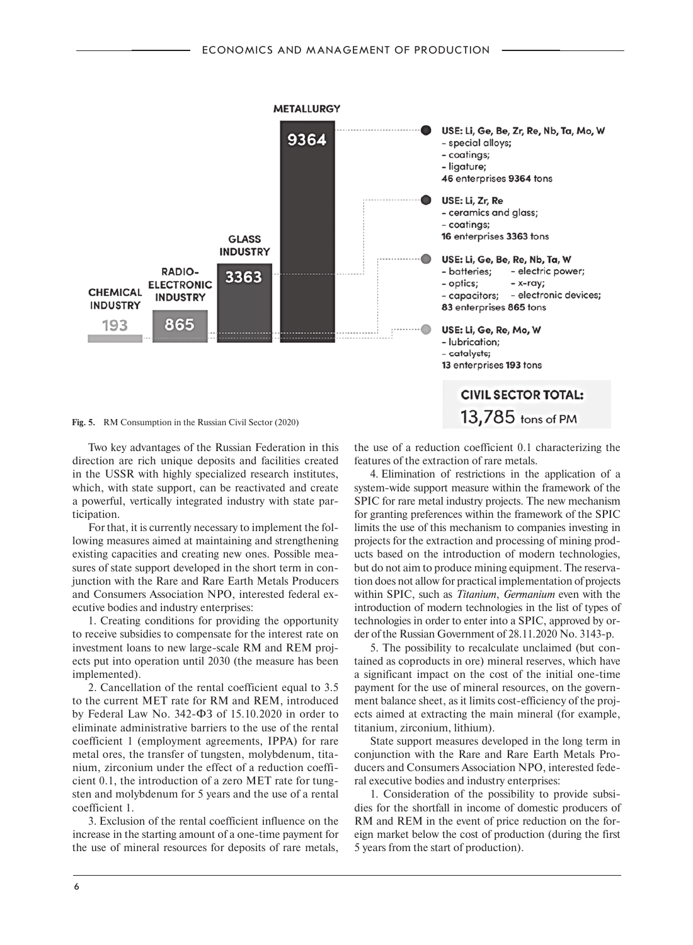

Two key advantages of the Russian Federation in this direction are rich unique deposits and facilities created in the USSR with highly specialized research institutes, which, with state support, can be reactivated and create a powerful, vertically integrated industry with state participation.

For that, it is currently necessary to implement the following measures aimed at maintaining and strengthening existing capacities and creating new ones. Possible measures of state support developed in the short term in conjunction with the Rare and Rare Earth Metals Producers and Consumers Association NPO, interested federal executive bodies and industry enterprises:

1. Creating conditions for providing the opportunity to receive subsidies to compensate for the interest rate on investment loans to new large-scale RM and REM projects put into operation until 2030 (the measure has been implemented).

2. Cancellation of the rental coefficient equal to 3.5 to the current MET rate for RM and REM, introduced by Federal Law No. 342-ФЗ of 15.10.2020 in order to eliminate administrative barriers to the use of the rental coefficient 1 (employment agreements, IPPA) for rare metal ores, the transfer of tungsten, molybdenum, titanium, zirconium under the effect of a reduction coefficient 0.1, the introduction of a zero MET rate for tungsten and molybdenum for 5 years and the use of a rental coefficient 1.

3. Exclusion of the rental coefficient influence on the increase in the starting amount of a one-time payment for the use of mineral resources for deposits of rare metals,

the use of a reduction coefficient 0.1 characterizing the features of the extraction of rare metals.

4. Elimination of restrictions in the application of a system-wide support measure within the framework of the SPIC for rare metal industry projects. The new mechanism for granting preferences within the framework of the SPIC limits the use of this mechanism to companies investing in projects for the extraction and processing of mining products based on the introduction of modern technologies, but do not aim to produce mining equipment. The reservation does not allow for practical implementation of projects within SPIC, such as *Titanium*, *Germanium* even with the introduction of modern technologies in the list of types of technologies in order to enter into a SPIC, approved by order of the Russian Government of 28.11.2020 No. 3143-р.

5. The possibility to recalculate unclaimed (but contained as coproducts in ore) mineral reserves, which have a significant impact on the cost of the initial one-time payment for the use of mineral resources, on the government balance sheet, as it limits cost-efficiency of the projects aimed at extracting the main mineral (for example, titanium, zirconium, lithium).

State support measures developed in the long term in conjunction with the Rare and Rare Earth Metals Producers and Consumers Association NPO, interested federal executive bodies and industry enterprises:

1. Consideration of the possibility to provide subsidies for the shortfall in income of domestic producers of RM and REM in the event of price reduction on the foreign market below the cost of production (during the first 5 years from the start of production).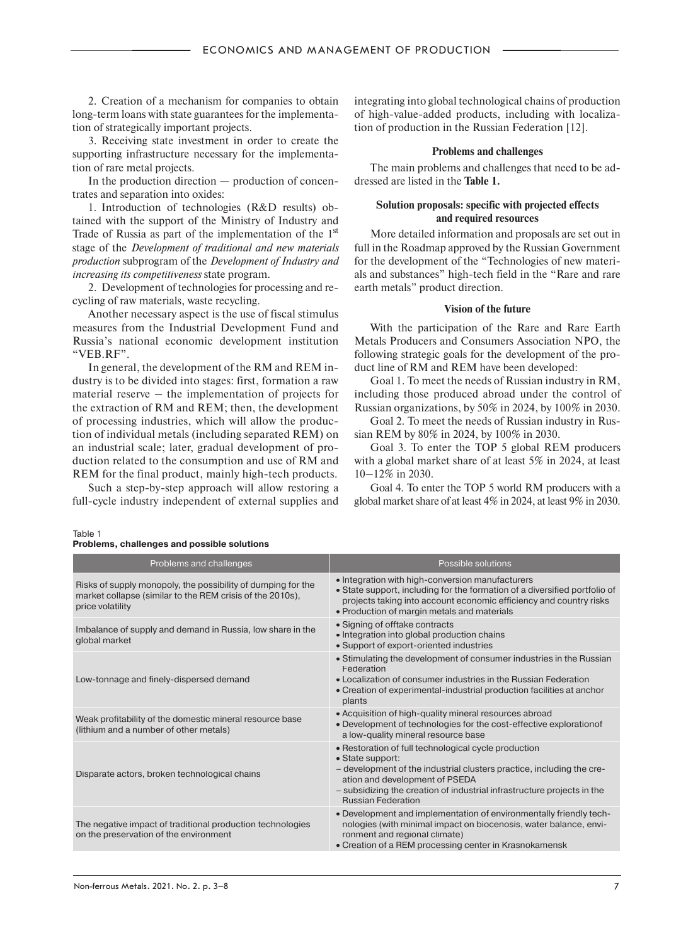2. Creation of a mechanism for companies to obtain long-term loans with state guarantees for the implementation of strategically important projects.

3. Receiving state investment in order to create the supporting infrastructure necessary for the implementation of rare metal projects.

In the production direction — production of concentrates and separation into oxides:

1. Introduction of technologies (R&D results) obtained with the support of the Ministry of Industry and Trade of Russia as part of the implementation of the 1<sup>st</sup> stage of the *Development of traditional and new materials production* subprogram of the *Development of Industry and increasing its competitiveness* state program.

2. Development of technologies for processing and recycling of raw materials, waste recycling.

Another necessary aspect is the use of fiscal stimulus measures from the Industrial Development Fund and Russia's national economic development institution "VEB.RF".

In general, the development of the RM and REM industry is to be divided into stages: first, formation a raw material reserve – the implementation of projects for the extraction of RM and REM; then, the development of processing industries, which will allow the production of individual metals (including separated REM) on an industrial scale; later, gradual development of production related to the consumption and use of RM and REM for the final product, mainly high-tech products.

Such a step-by-step approach will allow restoring a full-cycle industry independent of external supplies and integrating into global technological chains of production of high-value-added products, including with localization of production in the Russian Federation [12].

## **Problems and challenges**

The main problems and challenges that need to be addressed are listed in the **Table 1.**

# **Solution proposals: specific with projected effects and required resources**

More detailed information and proposals are set out in full in the Roadmap approved by the Russian Government for the development of the "Technologies of new materials and substances" high-tech field in the "Rare and rare earth metals" product direction.

## **Vision of the future**

With the participation of the Rare and Rare Earth Metals Producers and Consumers Association NPO, the following strategic goals for the development of the product line of RM and REM have been developed:

Goal 1. To meet the needs of Russian industry in RM, including those produced abroad under the control of Russian organizations, by 50% in 2024, by 100% in 2030.

Goal 2. To meet the needs of Russian industry in Russian REM by 80% in 2024, by 100% in 2030.

Goal 3. To enter the TOP 5 global REM producers with a global market share of at least 5% in 2024, at least 10–12% in 2030.

Goal 4. To enter the TOP 5 world RM producers with a global market share of at least 4% in 2024, at least 9% in 2030.

Table 1

|  | Problems, challenges and possible solutions |  |
|--|---------------------------------------------|--|
|  |                                             |  |

| Problems and challenges                                                                                                                       | Possible solutions                                                                                                                                                                                                                                                                          |  |
|-----------------------------------------------------------------------------------------------------------------------------------------------|---------------------------------------------------------------------------------------------------------------------------------------------------------------------------------------------------------------------------------------------------------------------------------------------|--|
| Risks of supply monopoly, the possibility of dumping for the<br>market collapse (similar to the REM crisis of the 2010s),<br>price volatility | • Integration with high-conversion manufacturers<br>• State support, including for the formation of a diversified portfolio of<br>projects taking into account economic efficiency and country risks<br>• Production of margin metals and materials                                         |  |
| Imbalance of supply and demand in Russia, low share in the<br>global market                                                                   | • Signing of offtake contracts<br>• Integration into global production chains<br>• Support of export-oriented industries                                                                                                                                                                    |  |
| Low-tonnage and finely-dispersed demand                                                                                                       | • Stimulating the development of consumer industries in the Russian<br>Federation<br>• Localization of consumer industries in the Russian Federation<br>• Creation of experimental-industrial production facilities at anchor<br>plants                                                     |  |
| Weak profitability of the domestic mineral resource base<br>(lithium and a number of other metals)                                            | • Acquisition of high-quality mineral resources abroad<br>• Development of technologies for the cost-effective exploration of<br>a low-quality mineral resource base                                                                                                                        |  |
| Disparate actors, broken technological chains                                                                                                 | • Restoration of full technological cycle production<br>• State support:<br>- development of the industrial clusters practice, including the cre-<br>ation and development of PSEDA<br>- subsidizing the creation of industrial infrastructure projects in the<br><b>Russian Federation</b> |  |
| The negative impact of traditional production technologies<br>on the preservation of the environment                                          | . Development and implementation of environmentally friendly tech-<br>nologies (with minimal impact on biocenosis, water balance, envi-<br>ronment and regional climate)<br>• Creation of a REM processing center in Krasnokamensk                                                          |  |